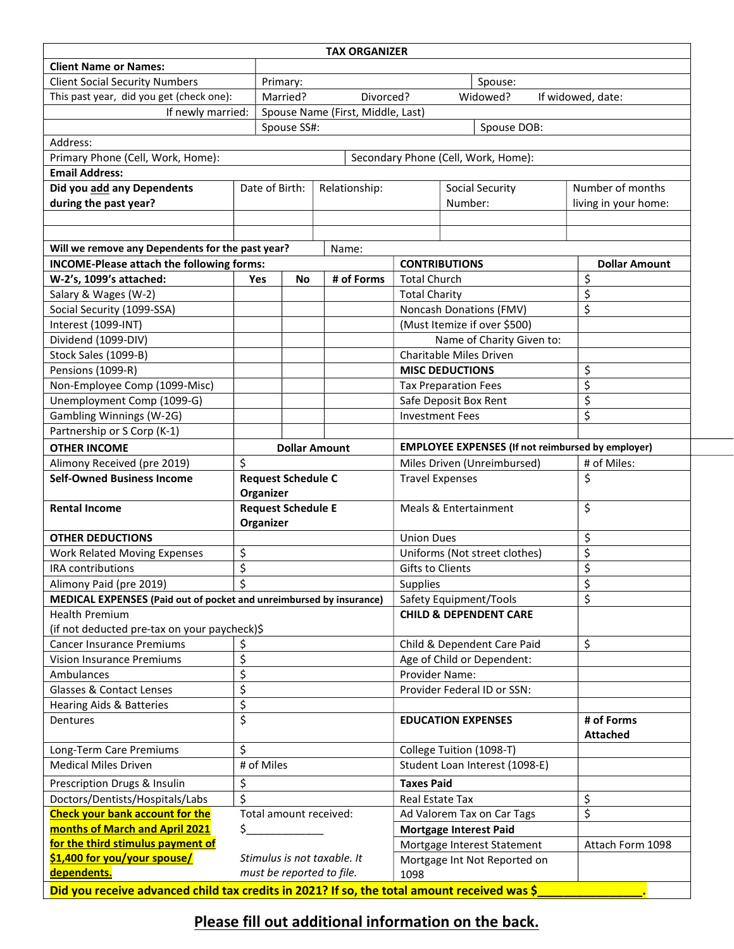|                                                                          |                                                        |             | <b>TAX ORGANIZER</b>        |                           |                                                          |                                                                                             |                      |  |  |  |
|--------------------------------------------------------------------------|--------------------------------------------------------|-------------|-----------------------------|---------------------------|----------------------------------------------------------|---------------------------------------------------------------------------------------------|----------------------|--|--|--|
| <b>Client Name or Names:</b>                                             |                                                        |             |                             |                           |                                                          |                                                                                             |                      |  |  |  |
| <b>Client Social Security Numbers</b>                                    | Primary:                                               |             |                             |                           | Spouse:                                                  |                                                                                             |                      |  |  |  |
| This past year, did you get (check one):                                 | Married?<br>Divorced?<br>Widowed?<br>If widowed, date: |             |                             |                           |                                                          |                                                                                             |                      |  |  |  |
| If newly married:<br>Spouse Name (First, Middle, Last)                   |                                                        |             |                             |                           |                                                          |                                                                                             |                      |  |  |  |
|                                                                          |                                                        | Spouse SS#: |                             |                           |                                                          | Spouse DOB:                                                                                 |                      |  |  |  |
| Address:                                                                 |                                                        |             |                             |                           |                                                          |                                                                                             |                      |  |  |  |
| Primary Phone (Cell, Work, Home):<br>Secondary Phone (Cell, Work, Home): |                                                        |             |                             |                           |                                                          |                                                                                             |                      |  |  |  |
| <b>Email Address:</b>                                                    |                                                        |             |                             |                           |                                                          |                                                                                             |                      |  |  |  |
| Did you add any Dependents                                               | Date of Birth:<br>Relationship:                        |             |                             |                           | <b>Social Security</b>                                   |                                                                                             | Number of months     |  |  |  |
| during the past year?                                                    |                                                        |             |                             | Number:                   |                                                          | living in your home:                                                                        |                      |  |  |  |
|                                                                          |                                                        |             |                             |                           |                                                          |                                                                                             |                      |  |  |  |
|                                                                          |                                                        |             |                             |                           |                                                          |                                                                                             |                      |  |  |  |
| Will we remove any Dependents for the past year?<br>Name:                |                                                        |             |                             |                           |                                                          |                                                                                             |                      |  |  |  |
| <b>INCOME-Please attach the following forms:</b>                         |                                                        |             |                             |                           |                                                          | <b>CONTRIBUTIONS</b>                                                                        | <b>Dollar Amount</b> |  |  |  |
| W-2's, 1099's attached:                                                  | Yes                                                    | No          | # of Forms                  |                           | <b>Total Church</b>                                      |                                                                                             | \$                   |  |  |  |
| Salary & Wages (W-2)                                                     |                                                        |             |                             |                           | \$<br><b>Total Charity</b>                               |                                                                                             |                      |  |  |  |
| Social Security (1099-SSA)                                               |                                                        |             |                             |                           | \$<br>Noncash Donations (FMV)                            |                                                                                             |                      |  |  |  |
| Interest (1099-INT)                                                      |                                                        |             |                             |                           |                                                          | (Must Itemize if over \$500)                                                                |                      |  |  |  |
| Dividend (1099-DIV)                                                      |                                                        |             |                             |                           |                                                          | Name of Charity Given to:                                                                   |                      |  |  |  |
| Stock Sales (1099-B)                                                     |                                                        |             |                             |                           |                                                          | Charitable Miles Driven                                                                     |                      |  |  |  |
| Pensions (1099-R)                                                        |                                                        |             |                             |                           | <b>MISC DEDUCTIONS</b>                                   |                                                                                             | \$                   |  |  |  |
| Non-Employee Comp (1099-Misc)                                            |                                                        |             |                             |                           | <b>Tax Preparation Fees</b>                              |                                                                                             | \$                   |  |  |  |
| Unemployment Comp (1099-G)                                               |                                                        |             |                             |                           | Safe Deposit Box Rent                                    |                                                                                             | \$                   |  |  |  |
| Gambling Winnings (W-2G)                                                 |                                                        |             |                             |                           |                                                          | <b>Investment Fees</b>                                                                      | \$                   |  |  |  |
| Partnership or S Corp (K-1)                                              |                                                        |             |                             |                           |                                                          |                                                                                             |                      |  |  |  |
| <b>OTHER INCOME</b>                                                      |                                                        |             | <b>Dollar Amount</b>        |                           | <b>EMPLOYEE EXPENSES (If not reimbursed by employer)</b> |                                                                                             |                      |  |  |  |
| Alimony Received (pre 2019)                                              | \$                                                     |             |                             |                           |                                                          | Miles Driven (Unreimbursed)                                                                 | # of Miles:          |  |  |  |
| <b>Self-Owned Business Income</b>                                        | <b>Request Schedule C</b>                              |             |                             |                           |                                                          | <b>Travel Expenses</b>                                                                      | \$                   |  |  |  |
|                                                                          | Organizer                                              |             |                             |                           |                                                          |                                                                                             |                      |  |  |  |
| <b>Rental Income</b>                                                     | <b>Request Schedule E</b>                              |             |                             |                           |                                                          | Meals & Entertainment                                                                       | \$                   |  |  |  |
|                                                                          | Organizer                                              |             |                             |                           |                                                          |                                                                                             |                      |  |  |  |
| <b>OTHER DEDUCTIONS</b>                                                  |                                                        |             |                             |                           | <b>Union Dues</b>                                        |                                                                                             | \$                   |  |  |  |
| <b>Work Related Moving Expenses</b>                                      | \$                                                     |             |                             |                           | Uniforms (Not street clothes)                            | \$                                                                                          |                      |  |  |  |
| IRA contributions                                                        | \$                                                     |             |                             |                           | <b>Gifts to Clients</b>                                  |                                                                                             | \$                   |  |  |  |
| Alimony Paid (pre 2019)                                                  | \$                                                     |             |                             |                           | Supplies                                                 |                                                                                             | <u>ڊ</u>             |  |  |  |
| MEDICAL EXPENSES (Paid out of pocket and unreimbursed by insurance)      |                                                        |             |                             |                           |                                                          | Safety Equipment/Tools                                                                      | \$                   |  |  |  |
| <b>Health Premium</b>                                                    |                                                        |             |                             |                           | <b>CHILD &amp; DEPENDENT CARE</b>                        |                                                                                             |                      |  |  |  |
| (if not deducted pre-tax on your paycheck)\$                             |                                                        |             |                             |                           |                                                          |                                                                                             |                      |  |  |  |
| <b>Cancer Insurance Premiums</b>                                         | \$                                                     |             |                             |                           |                                                          | Child & Dependent Care Paid                                                                 | \$                   |  |  |  |
| <b>Vision Insurance Premiums</b>                                         | \$                                                     |             |                             |                           |                                                          | Age of Child or Dependent:                                                                  |                      |  |  |  |
| Ambulances                                                               | \$                                                     |             |                             |                           | Provider Name:                                           |                                                                                             |                      |  |  |  |
| Glasses & Contact Lenses                                                 | \$                                                     |             |                             |                           |                                                          | Provider Federal ID or SSN:                                                                 |                      |  |  |  |
| Hearing Aids & Batteries                                                 | \$                                                     |             |                             |                           |                                                          |                                                                                             |                      |  |  |  |
| Dentures                                                                 | \$                                                     |             |                             | <b>EDUCATION EXPENSES</b> |                                                          | # of Forms<br><b>Attached</b>                                                               |                      |  |  |  |
| Long-Term Care Premiums                                                  | \$                                                     |             |                             |                           |                                                          | College Tuition (1098-T)                                                                    |                      |  |  |  |
| <b>Medical Miles Driven</b>                                              | # of Miles                                             |             |                             |                           | Student Loan Interest (1098-E)                           |                                                                                             |                      |  |  |  |
| Prescription Drugs & Insulin                                             | \$                                                     |             |                             | <b>Taxes Paid</b>         |                                                          |                                                                                             |                      |  |  |  |
| Doctors/Dentists/Hospitals/Labs                                          | \$                                                     |             |                             |                           | Real Estate Tax                                          |                                                                                             | \$                   |  |  |  |
| <b>Check your bank account for the</b>                                   | Total amount received:                                 |             |                             |                           |                                                          | Ad Valorem Tax on Car Tags                                                                  | \$                   |  |  |  |
| months of March and April 2021                                           | \$                                                     |             |                             |                           |                                                          | <b>Mortgage Interest Paid</b>                                                               |                      |  |  |  |
| for the third stimulus payment of                                        |                                                        |             |                             |                           |                                                          | Mortgage Interest Statement                                                                 | Attach Form 1098     |  |  |  |
| \$1,400 for you/your spouse/                                             |                                                        |             | Stimulus is not taxable. It |                           |                                                          | Mortgage Int Not Reported on                                                                |                      |  |  |  |
| dependents.<br>must be reported to file.                                 |                                                        |             | 1098                        |                           |                                                          |                                                                                             |                      |  |  |  |
|                                                                          |                                                        |             |                             |                           |                                                          | Did you receive advanced child tax credits in 2021? If so, the total amount received was \$ |                      |  |  |  |

## Please fill out additional information on the back.